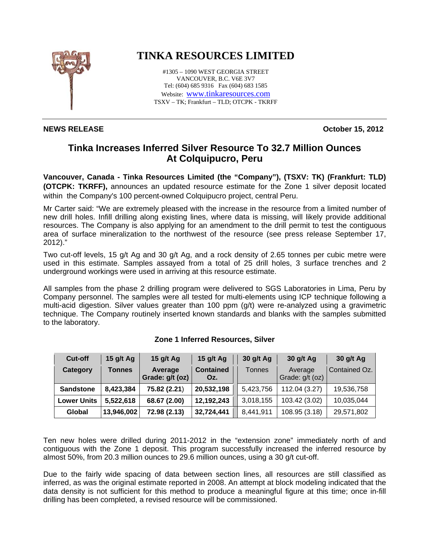

## **NEWS RELEASE October 15, 2012**

## **TINKA RESOURCES LIMITED**

#1305 – 1090 WEST GEORGIA STREET VANCOUVER, B.C. V6E 3V7 Tel: (604) 685 9316 Fax (604) 683 1585 Website: www.tinkaresources.com TSXV – TK; Frankfurt – TLD; OTCPK - TKRFF

## **Tinka Increases Inferred Silver Resource To 32.7 Million Ounces At Colquipucro, Peru**

**Vancouver, Canada - Tinka Resources Limited (the "Company"), (TSXV: TK) (Frankfurt: TLD) (OTCPK: TKRFF),** announces an updated resource estimate for the Zone 1 silver deposit located within the Company's 100 percent-owned Colquipucro project, central Peru.

Mr Carter said: "We are extremely pleased with the increase in the resource from a limited number of new drill holes. Infill drilling along existing lines, where data is missing, will likely provide additional resources. The Company is also applying for an amendment to the drill permit to test the contiguous area of surface mineralization to the northwest of the resource (see press release September 17, 2012)."

Two cut-off levels, 15 g/t Ag and 30 g/t Ag, and a rock density of 2.65 tonnes per cubic metre were used in this estimate. Samples assayed from a total of 25 drill holes, 3 surface trenches and 2 underground workings were used in arriving at this resource estimate.

All samples from the phase 2 drilling program were delivered to SGS Laboratories in Lima, Peru by Company personnel. The samples were all tested for multi-elements using ICP technique following a multi-acid digestion. Silver values greater than 100 ppm (g/t) were re-analyzed using a gravimetric technique. The Company routinely inserted known standards and blanks with the samples submitted to the laboratory.

| <b>Cut-off</b>     | 15 $g/t$ Ag   | 15 $g/t$ Ag                | 15 $g/t$ Ag             | 30 g/t Ag     | 30 g/t Ag                  | 30 g/t Ag     |
|--------------------|---------------|----------------------------|-------------------------|---------------|----------------------------|---------------|
| Category           | <b>Tonnes</b> | Average<br>Grade: g/t (oz) | <b>Contained</b><br>Oz. | <b>Tonnes</b> | Average<br>Grade: g/t (oz) | Contained Oz. |
| <b>Sandstone</b>   | 8,423,384     | 75.82 (2.21)               | 20,532,198              | 5,423,756     | 112.04 (3.27)              | 19,536,758    |
| <b>Lower Units</b> | 5,522,618     | 68.67 (2.00)               | 12,192,243              | 3,018,155     | 103.42 (3.02)              | 10,035,044    |
| Global             | 13,946,002    | 72.98 (2.13)               | 32,724,441              | 8,441,911     | 108.95 (3.18)              | 29,571,802    |

## **Zone 1 Inferred Resources, Silver**

Ten new holes were drilled during 2011-2012 in the "extension zone" immediately north of and contiguous with the Zone 1 deposit. This program successfully increased the inferred resource by almost 50%, from 20.3 million ounces to 29.6 million ounces, using a 30 g/t cut-off.

Due to the fairly wide spacing of data between section lines, all resources are still classified as inferred, as was the original estimate reported in 2008. An attempt at block modeling indicated that the data density is not sufficient for this method to produce a meaningful figure at this time; once in-fill drilling has been completed, a revised resource will be commissioned.